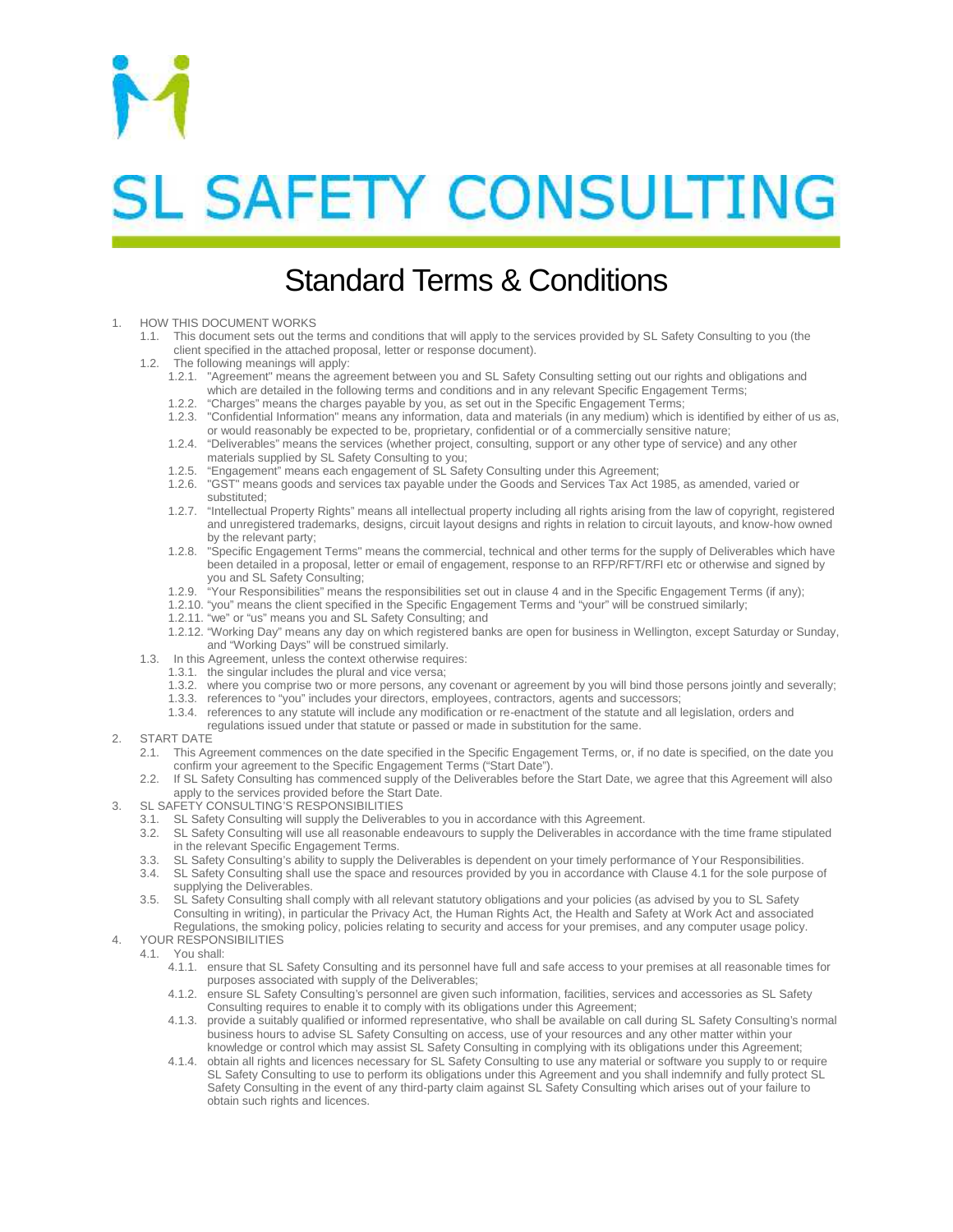

# **SL SAFETY CONSULTING**

# Standard Terms & Conditions

#### HOW THIS DOCUMENT WORKS

- 1.1. This document sets out the terms and conditions that will apply to the services provided by SL Safety Consulting to you (the client specified in the attached proposal, letter or response document).
- 1.2. The following meanings will apply:
	- 1.2.1. "Agreement" means the agreement between you and SL Safety Consulting setting out our rights and obligations and which are detailed in the following terms and conditions and in any relevant Specific Engagement Terms;
	- 1.2.2. "Charges" means the charges payable by you, as set out in the Specific Engagement Terms; 1.2.3. "Confidential Information" means any information, data and materials (in any medium) which is identified by either of us as,
	- or would reasonably be expected to be, proprietary, confidential or of a commercially sensitive nature; 1.2.4. "Deliverables" means the services (whether project, consulting, support or any other type of service) and any other materials supplied by SL Safety Consulting to you;
	- 1.2.5. "Engagement" means each engagement of SL Safety Consulting under this Agreement;
	- 1.2.6. "GST" means goods and services tax payable under the Goods and Services Tax Act 1985, as amended, varied or substituted;
	- 1.2.7. "Intellectual Property Rights" means all intellectual property including all rights arising from the law of copyright, registered and unregistered trademarks, designs, circuit layout designs and rights in relation to circuit layouts, and know-how owned by the relevant party;
	- 1.2.8. "Specific Engagement Terms" means the commercial, technical and other terms for the supply of Deliverables which have been detailed in a proposal, letter or email of engagement, response to an RFP/RFT/RFI etc or otherwise and signed by you and SL Safety Consulting;
	- 1.2.9. "Your Responsibilities" means the responsibilities set out in clause 4 and in the Specific Engagement Terms (if any);
	- 1.2.10. "you" means the client specified in the Specific Engagement Terms and "your" will be construed similarly;
	- 1.2.11. "we" or "us" means you and SL Safety Consulting; and
	- 1.2.12. "Working Day" means any day on which registered banks are open for business in Wellington, except Saturday or Sunday, and "Working Days" will be construed similarly.
- 1.3. In this Agreement, unless the context otherwise requires:
	- 1.3.1. the singular includes the plural and vice versa;
	- 1.3.2. where you comprise two or more persons, any covenant or agreement by you will bind those persons jointly and severally;
	- 1.3.3. references to "you" includes your directors, employees, contractors, agents and successors;
	- 1.3.4. references to any statute will include any modification or re-enactment of the statute and all legislation, orders and
		- regulations issued under that statute or passed or made in substitution for the same.

### 2. START DATE

- 2.1. This Agreement commences on the date specified in the Specific Engagement Terms, or, if no date is specified, on the date you confirm your agreement to the Specific Engagement Terms ("Start Date").
- 2.2. If SL Safety Consulting has commenced supply of the Deliverables before the Start Date, we agree that this Agreement will also apply to the services provided before the Start Date.
- 3. SL SAFETY CONSULTING'S RESPONSIBILITIES
	- 3.1. SL Safety Consulting will supply the Deliverables to you in accordance with this Agreement.
	- 3.2. SL Safety Consulting will use all reasonable endeavours to supply the Deliverables in accordance with the time frame stipulated in the relevant Specific Engagement Terms.
	-
	- 3.3. SL Safety Consulting's ability to supply the Deliverables is dependent on your timely performance of Your Responsibilities.<br>3.4. SL Safety Consulting shall use the space and resources provided by you in accordance wit SL Safety Consulting shall use the space and resources provided by you in accordance with Clause 4.1 for the sole purpose of supplying the Deliverables.
	- 3.5. SL Safety Consulting shall comply with all relevant statutory obligations and your policies (as advised by you to SL Safety Consulting in writing), in particular the Privacy Act, the Human Rights Act, the Health and Safety at Work Act and associated Regulations, the smoking policy, policies relating to security and access for your premises, and any computer usage policy.

#### YOUR RESPONSIBILITIES

- 4.1. You shall:
	- 4.1.1. ensure that SL Safety Consulting and its personnel have full and safe access to your premises at all reasonable times for purposes associated with supply of the Deliverables;
	- 4.1.2. ensure SL Safety Consulting's personnel are given such information, facilities, services and accessories as SL Safety Consulting requires to enable it to comply with its obligations under this Agreement;
	- 4.1.3. provide a suitably qualified or informed representative, who shall be available on call during SL Safety Consulting's normal business hours to advise SL Safety Consulting on access, use of your resources and any other matter within your knowledge or control which may assist SL Safety Consulting in complying with its obligations under this Agreement;
	- 4.1.4. obtain all rights and licences necessary for SL Safety Consulting to use any material or software you supply to or require SL Safety Consulting to use to perform its obligations under this Agreement and you shall indemnify and fully protect SL Safety Consulting in the event of any third-party claim against SL Safety Consulting which arises out of your failure to obtain such rights and licences.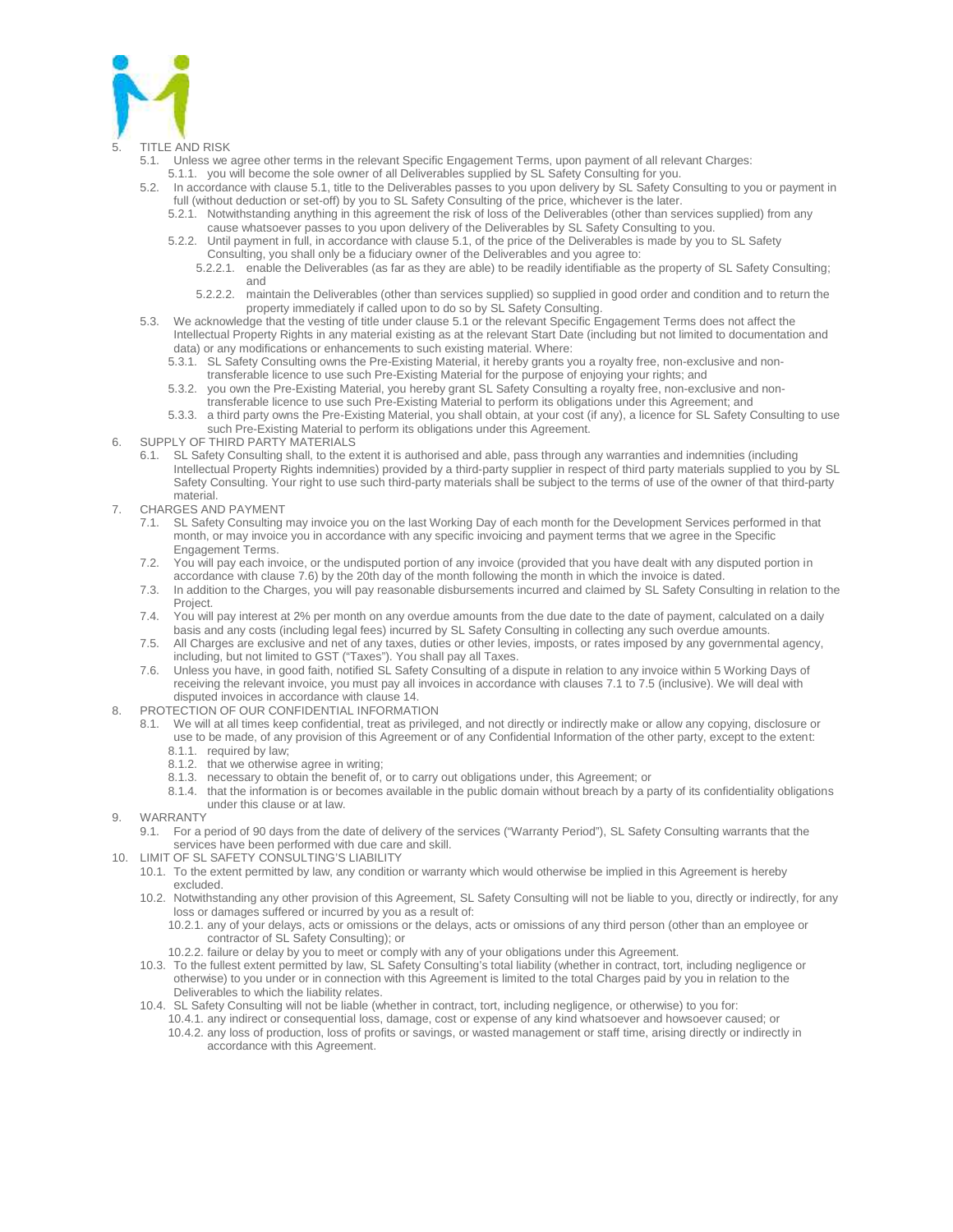

### **TITLE AND RISK**

- 5.1. Unless we agree other terms in the relevant Specific Engagement Terms, upon payment of all relevant Charges:
- 5.1.1. you will become the sole owner of all Deliverables supplied by SL Safety Consulting for you.
- 5.2. In accordance with clause 5.1, title to the Deliverables passes to you upon delivery by SL Safety Consulting to you or payment in full (without deduction or set-off) by you to SL Safety Consulting of the price, whichever is the later.
	- 5.2.1. Notwithstanding anything in this agreement the risk of loss of the Deliverables (other than services supplied) from any cause whatsoever passes to you upon delivery of the Deliverables by SL Safety Consulting to you.
	- 5.2.2. Until payment in full, in accordance with clause 5.1, of the price of the Deliverables is made by you to SL Safety Consulting, you shall only be a fiduciary owner of the Deliverables and you agree to:
		- 5.2.2.1. enable the Deliverables (as far as they are able) to be readily identifiable as the property of SL Safety Consulting; and
		- 5.2.2.2. maintain the Deliverables (other than services supplied) so supplied in good order and condition and to return the property immediately if called upon to do so by SL Safety Consulting.
- 5.3. We acknowledge that the vesting of title under clause 5.1 or the relevant Specific Engagement Terms does not affect the Intellectual Property Rights in any material existing as at the relevant Start Date (including but not limited to documentation and data) or any modifications or enhancements to such existing material. Where:
	- 5.3.1. SL Safety Consulting owns the Pre-Existing Material, it hereby grants you a royalty free, non-exclusive and nontransferable licence to use such Pre-Existing Material for the purpose of enjoying your rights; and
	- 5.3.2. you own the Pre-Existing Material, you hereby grant SL Safety Consulting a royalty free, non-exclusive and nontransferable licence to use such Pre-Existing Material to perform its obligations under this Agreement; and
	- 5.3.3. a third party owns the Pre-Existing Material, you shall obtain, at your cost (if any), a licence for SL Safety Consulting to use such Pre-Existing Material to perform its obligations under this Agreement.
- 6. SUPPLY OF THIRD PARTY MATERIALS
	- 6.1. SL Safety Consulting shall, to the extent it is authorised and able, pass through any warranties and indemnities (including Intellectual Property Rights indemnities) provided by a third-party supplier in respect of third party materials supplied to you by SL Safety Consulting. Your right to use such third-party materials shall be subject to the terms of use of the owner of that third-party material.
- 7. CHARGES AND PAYMENT
	- 7.1. SL Safety Consulting may invoice you on the last Working Day of each month for the Development Services performed in that month, or may invoice you in accordance with any specific invoicing and payment terms that we agree in the Specific Engagement Terms.
	- 7.2. You will pay each invoice, or the undisputed portion of any invoice (provided that you have dealt with any disputed portion in accordance with clause 7.6) by the 20th day of the month following the month in which the invoice is dated.
	- 7.3. In addition to the Charges, you will pay reasonable disbursements incurred and claimed by SL Safety Consulting in relation to the Project.
	- 7.4. You will pay interest at 2% per month on any overdue amounts from the due date to the date of payment, calculated on a daily basis and any costs (including legal fees) incurred by SL Safety Consulting in collecting any such overdue amounts.
	- 7.5. All Charges are exclusive and net of any taxes, duties or other levies, imposts, or rates imposed by any governmental agency, including, but not limited to GST ("Taxes"). You shall pay all Taxes.
	- 7.6. Unless you have, in good faith, notified SL Safety Consulting of a dispute in relation to any invoice within 5 Working Days of receiving the relevant invoice, you must pay all invoices in accordance with clauses 7.1 to 7.5 (inclusive). We will deal with disputed invoices in accordance with clause 14.
- 8. PROTECTION OF OUR CONFIDENTIAL INFORMATION
	- 8.1. We will at all times keep confidential, treat as privileged, and not directly or indirectly make or allow any copying, disclosure or use to be made, of any provision of this Agreement or of any Confidential Information of the other party, except to the extent:
		- 8.1.1. required by law;
		- 8.1.2. that we otherwise agree in writing;
		- 8.1.3. necessary to obtain the benefit of, or to carry out obligations under, this Agreement; or
		- 8.1.4. that the information is or becomes available in the public domain without breach by a party of its confidentiality obligations under this clause or at law.
- 9. WARRANTY
	- 9.1. For a period of 90 days from the date of delivery of the services ("Warranty Period"), SL Safety Consulting warrants that the services have been performed with due care and skill.
- 10. LIMIT OF SL SAFETY CONSULTING'S LIABILITY
	- 10.1. To the extent permitted by law, any condition or warranty which would otherwise be implied in this Agreement is hereby excluded.
	- 10.2. Notwithstanding any other provision of this Agreement, SL Safety Consulting will not be liable to you, directly or indirectly, for any loss or damages suffered or incurred by you as a result of:
		- 10.2.1. any of your delays, acts or omissions or the delays, acts or omissions of any third person (other than an employee or contractor of SL Safety Consulting); or
		- 10.2.2. failure or delay by you to meet or comply with any of your obligations under this Agreement.
	- 10.3. To the fullest extent permitted by law, SL Safety Consulting's total liability (whether in contract, tort, including negligence or otherwise) to you under or in connection with this Agreement is limited to the total Charges paid by you in relation to the Deliverables to which the liability relates.
	- 10.4. SL Safety Consulting will not be liable (whether in contract, tort, including negligence, or otherwise) to you for: 10.4.1. any indirect or consequential loss, damage, cost or expense of any kind whatsoever and howsoever caused; or
		- 10.4.2. any loss of production, loss of profits or savings, or wasted management or staff time, arising directly or indirectly in accordance with this Agreement.